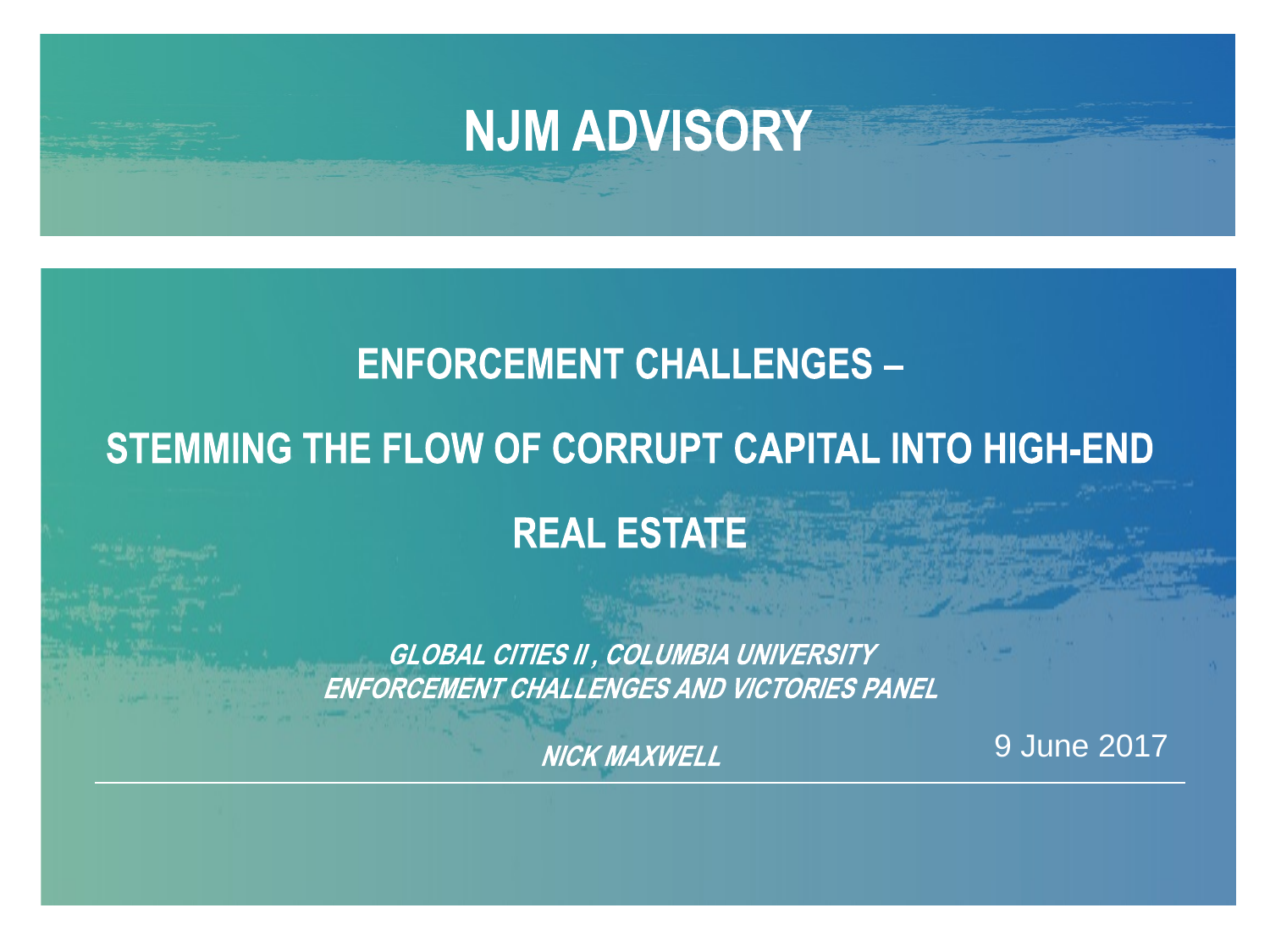### **NJM ADVISORY**

#### **ENFORCEMENT CHALLENGES -**

#### STEMMING THE FLOW OF CORRUPT CAPITAL INTO HIGH-END

#### **REAL ESTATE**

**GLOBAL CITIES II, COLUMBIA UNIVERSITY** ENFORCEMENT CHALLENGES AND VICTORIES PANEL

**NICK MAXWELL** 

9 June 2017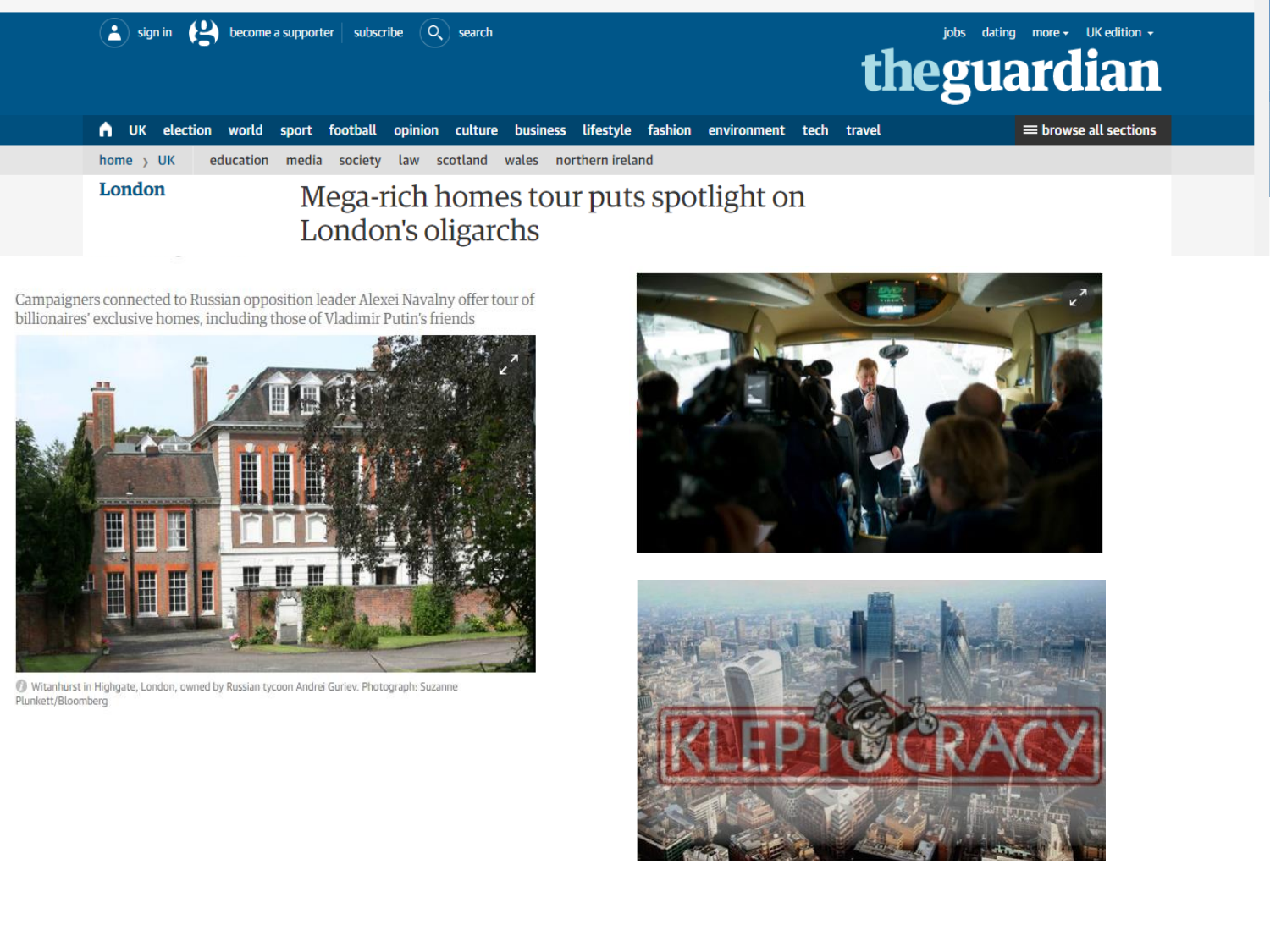|                       | sign in $\left( \begin{array}{ccc} 1 \end{array} \right)$ become a supporter $\mid$ subscribe $\left( \begin{array}{ccc} 0 \end{array} \right)$ search |                    |                                        |  | theguardian | jobs dating more $\star$ UK edition $\star$ |
|-----------------------|--------------------------------------------------------------------------------------------------------------------------------------------------------|--------------------|----------------------------------------|--|-------------|---------------------------------------------|
| А.                    | UK election world sport football opinion culture business lifestyle fashion environment tech travel                                                    |                    |                                        |  |             | $\equiv$ browse all sections                |
| home $\rightarrow$ UK | education media society law scotland wales northernireland                                                                                             |                    |                                        |  |             |                                             |
| London                |                                                                                                                                                        | London's oligarchs | Mega-rich homes tour puts spotlight on |  |             |                                             |

Campaigners connected to Russian opposition leader Alexei Navalny offer tour of<br>billionaires' exclusive homes, including those of Vladimir Putin's friends



1 Witanhurst in Highgate, London, owned by Russian tycoon Andrei Guriev. Photograph: Suzanne Plunkett/Bloomberg



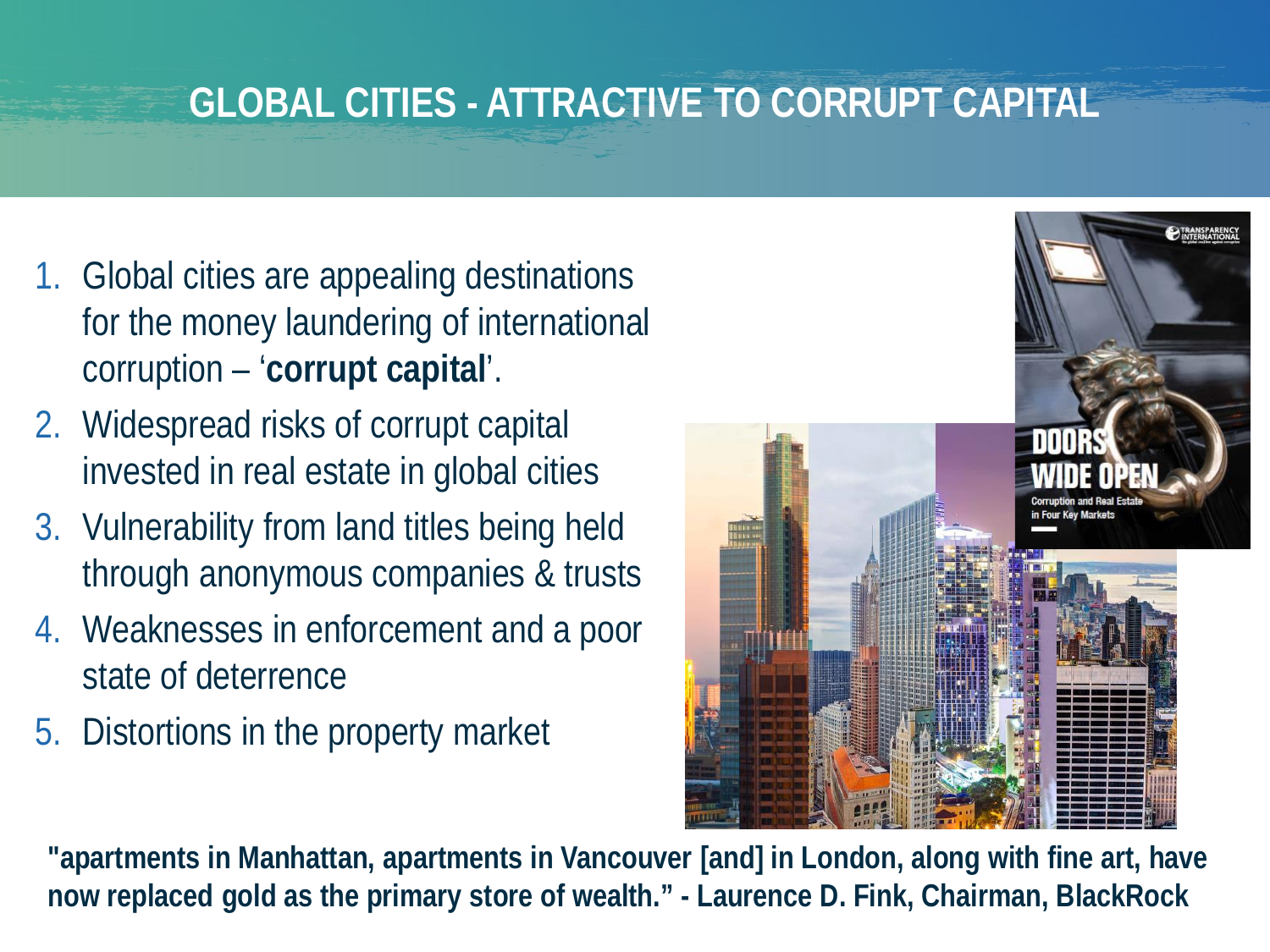### **GLOBAL CITIES - ATTRACTIVE TO CORRUPT CAPITAL**

- 1. Global cities are appealing destinations for the money laundering of international corruption – '**corrupt capital**'.
- 2. Widespread risks of corrupt capital invested in real estate in global cities
- 3. Vulnerability from land titles being held through anonymous companies & trusts
- 4. Weaknesses in enforcement and a poor state of deterrence
- 5. Distortions in the property market



**"apartments in Manhattan, apartments in Vancouver [and] in London, along with fine art, have now replaced gold as the primary store of wealth." - Laurence D. Fink, Chairman, BlackRock**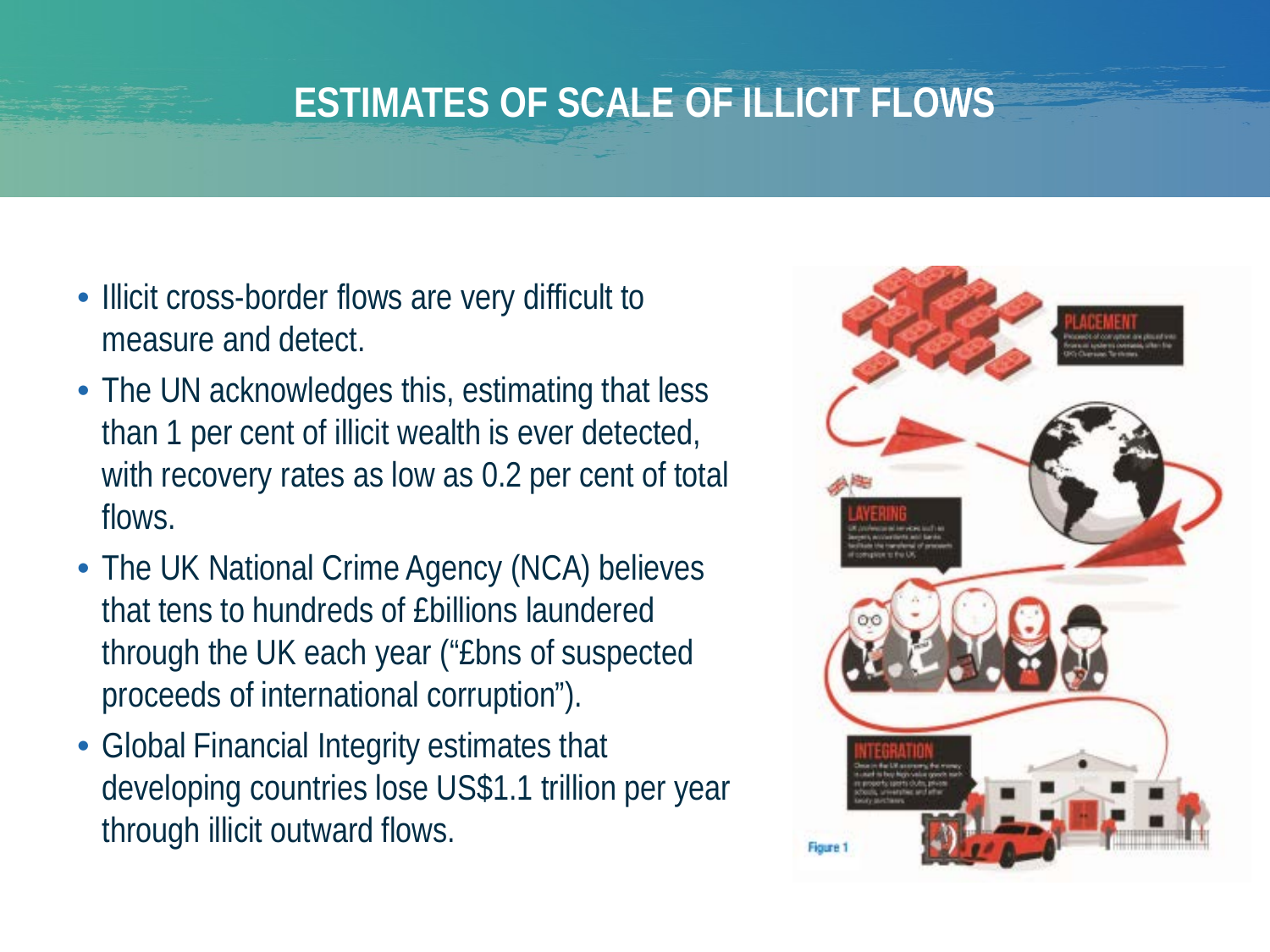### **ESTIMATES OF SCALE OF ILLICIT FLOWS**

- Illicit cross-border flows are very difficult to measure and detect.
- The UN acknowledges this, estimating that less than 1 per cent of illicit wealth is ever detected, with recovery rates as low as 0.2 per cent of total flows.
- The UK National Crime Agency (NCA) believes that tens to hundreds of £billions laundered through the UK each year ("£bns of suspected proceeds of international corruption").
- Global Financial Integrity estimates that developing countries lose US\$1.1 trillion per year through illicit outward flows.

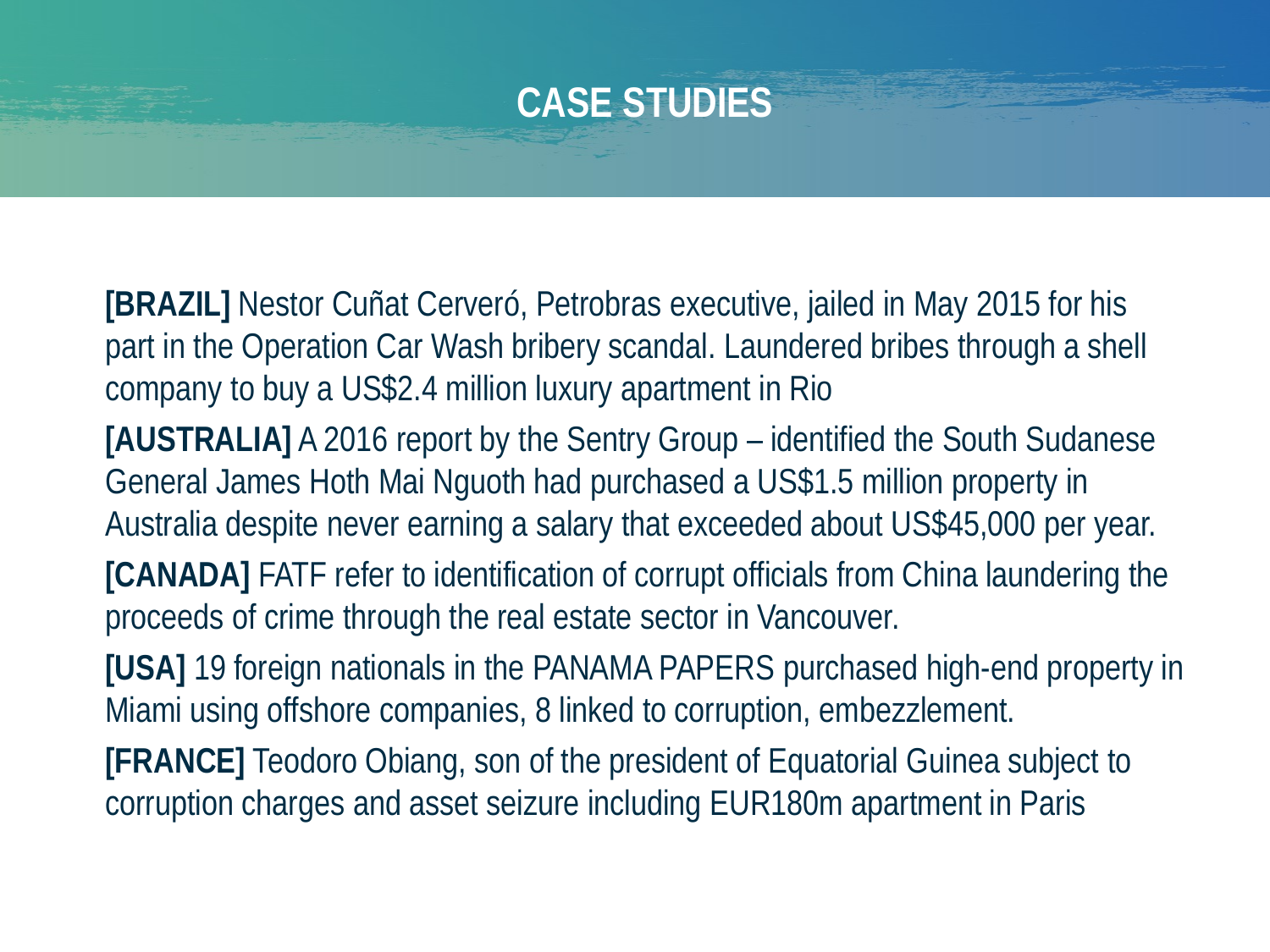### **CASE STUDIES**

**[BRAZIL]** Nestor Cuñat Cerveró, Petrobras executive, jailed in May 2015 for his part in the Operation Car Wash bribery scandal. Laundered bribes through a shell company to buy a US\$2.4 million luxury apartment in Rio

**[AUSTRALIA]** A 2016 report by the Sentry Group – identified the South Sudanese General James Hoth Mai Nguoth had purchased a US\$1.5 million property in Australia despite never earning a salary that exceeded about US\$45,000 per year.

**[CANADA]** FATF refer to identification of corrupt officials from China laundering the proceeds of crime through the real estate sector in Vancouver.

**[USA]** 19 foreign nationals in the PANAMA PAPERS purchased high-end property in Miami using offshore companies, 8 linked to corruption, embezzlement.

**[FRANCE]** Teodoro Obiang, son of the president of Equatorial Guinea subject to corruption charges and asset seizure including EUR180m apartment in Paris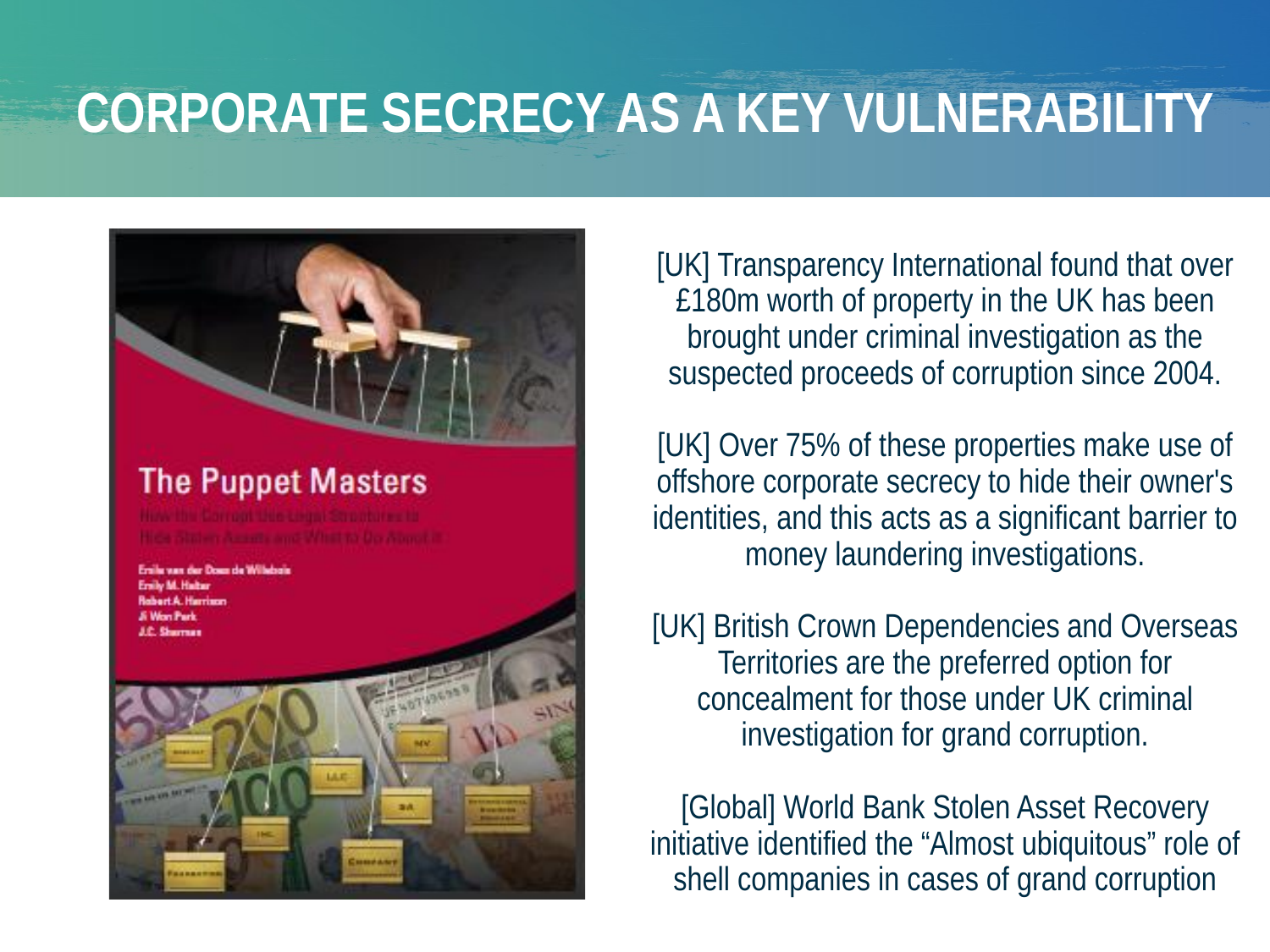# **CORPORATE SECRECY AS A KEY VULNERABILITY**



[UK] Transparency International found that over £180m worth of property in the UK has been brought under criminal investigation as the suspected proceeds of corruption since 2004.

[UK] Over 75% of these properties make use of offshore corporate secrecy to hide their owner's identities, and this acts as a significant barrier to money laundering investigations.

[UK] British Crown Dependencies and Overseas Territories are the preferred option for concealment for those under UK criminal investigation for grand corruption.

[Global] World Bank Stolen Asset Recovery initiative identified the "Almost ubiquitous" role of shell companies in cases of grand corruption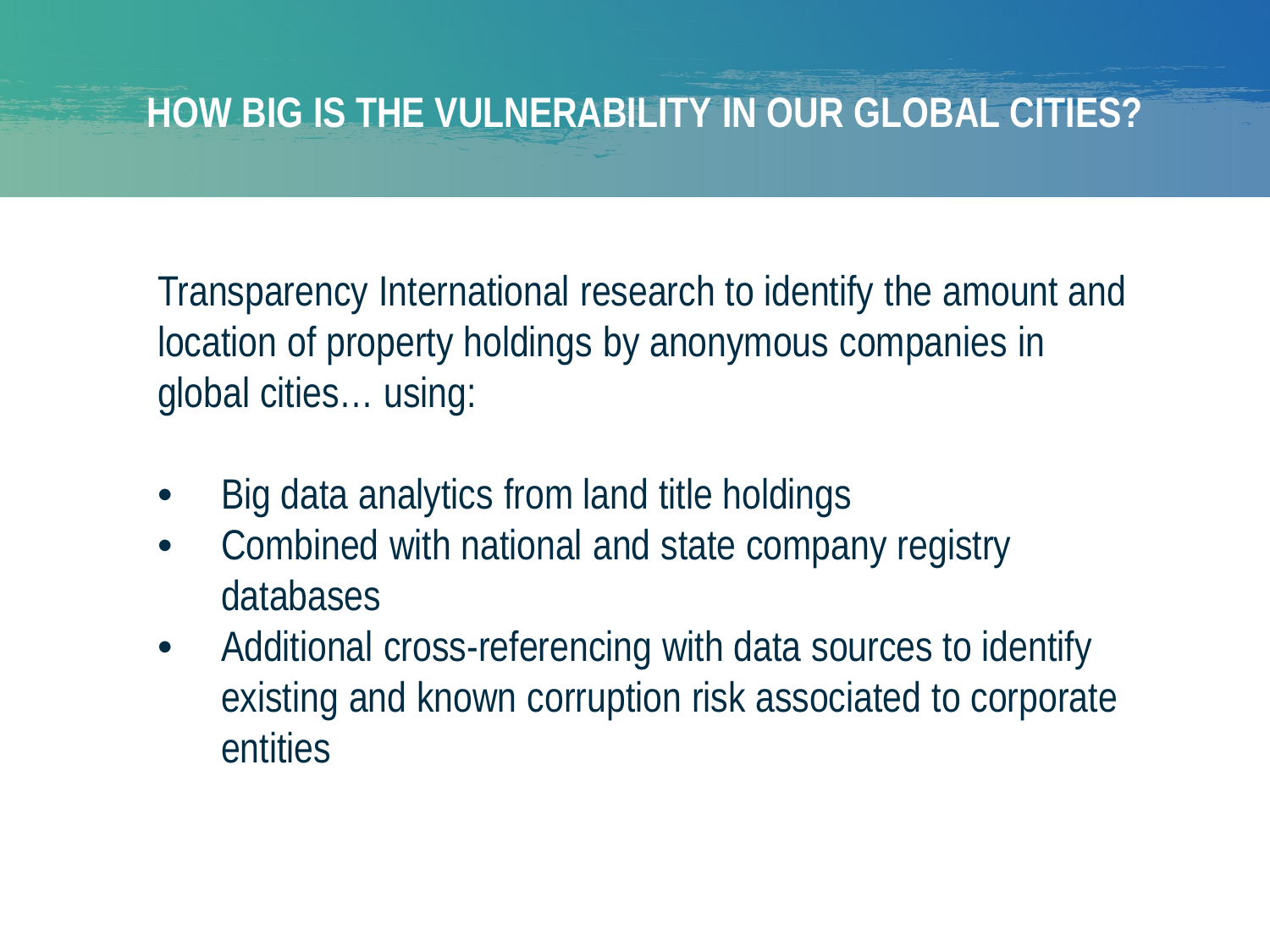#### **HOW BIG IS THE VULNERABILITY IN OUR GLOBAL CITIES?**

Transparency International research to identify the amount and location of property holdings by anonymous companies in global cities… using:

- Big data analytics from land title holdings
- Combined with national and state company registry databases
- Additional cross-referencing with data sources to identify existing and known corruption risk associated to corporate entities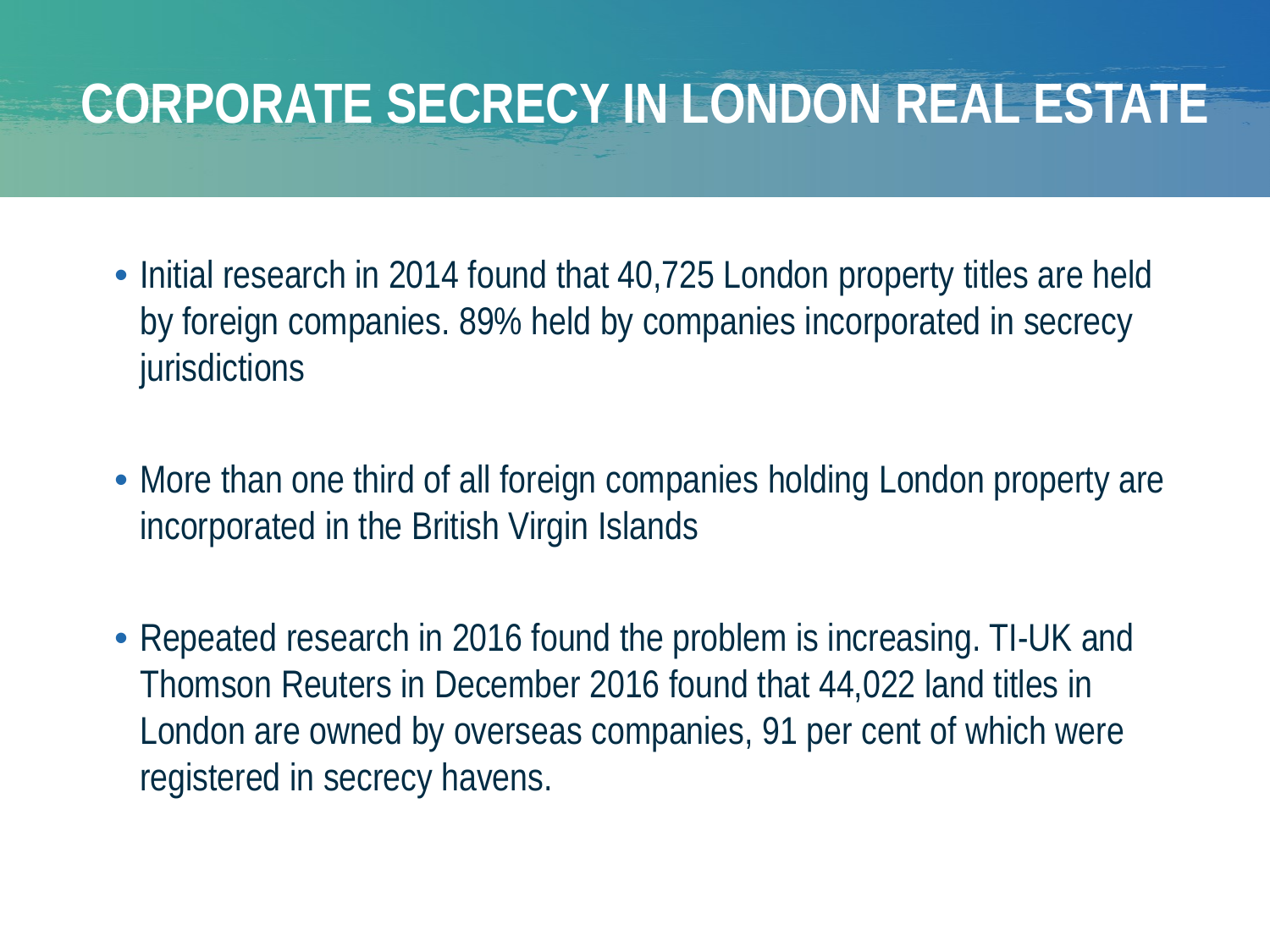# **CORPORATE SECRECY IN LONDON REAL ESTATE**

- Initial research in 2014 found that 40,725 London property titles are held by foreign companies. 89% held by companies incorporated in secrecy jurisdictions
- More than one third of all foreign companies holding London property are incorporated in the British Virgin Islands
- Repeated research in 2016 found the problem is increasing. TI-UK and Thomson Reuters in December 2016 found that 44,022 land titles in London are owned by overseas companies, 91 per cent of which were registered in secrecy havens.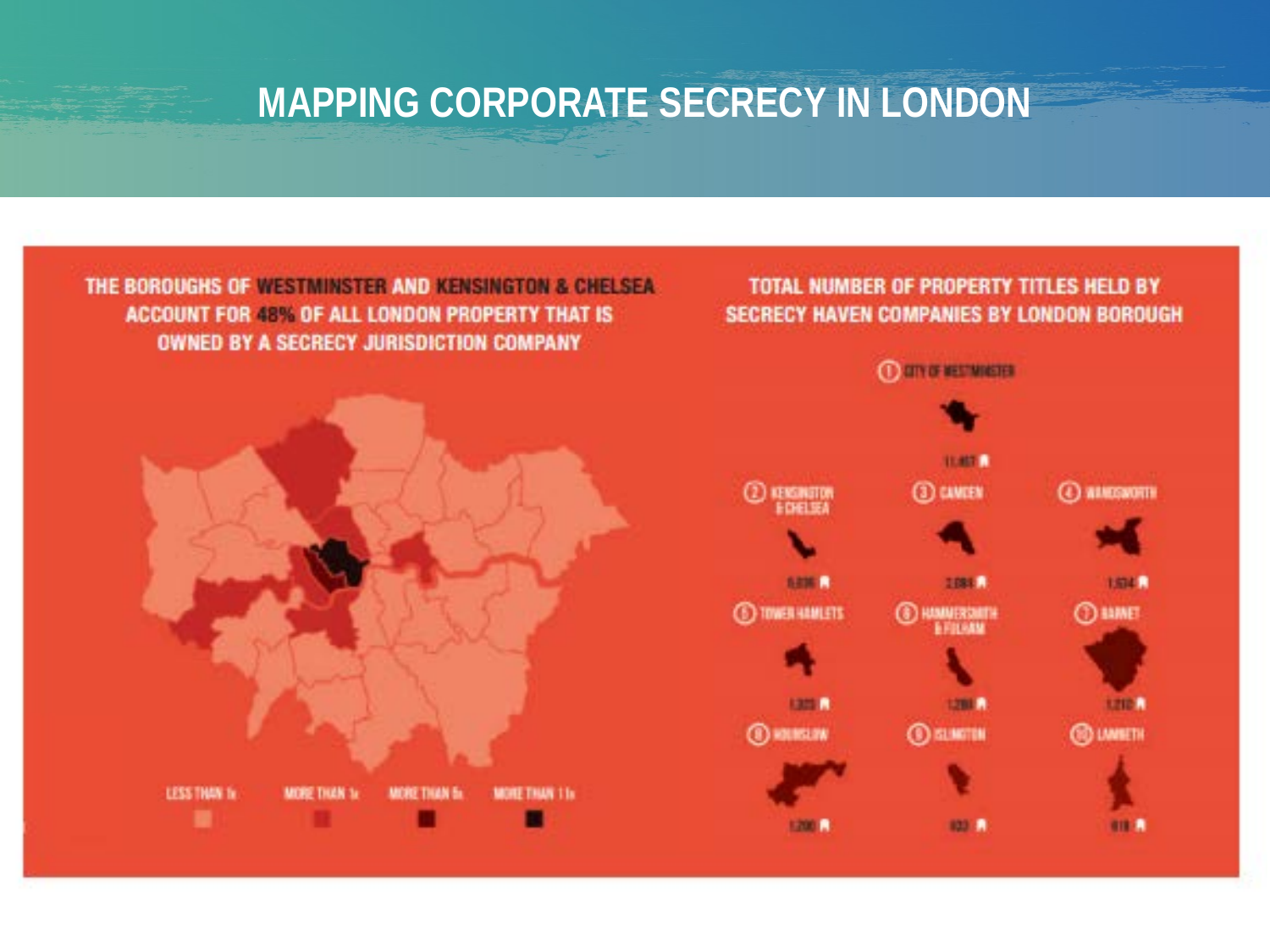#### **MAPPING CORPORATE SECRECY IN LONDON**

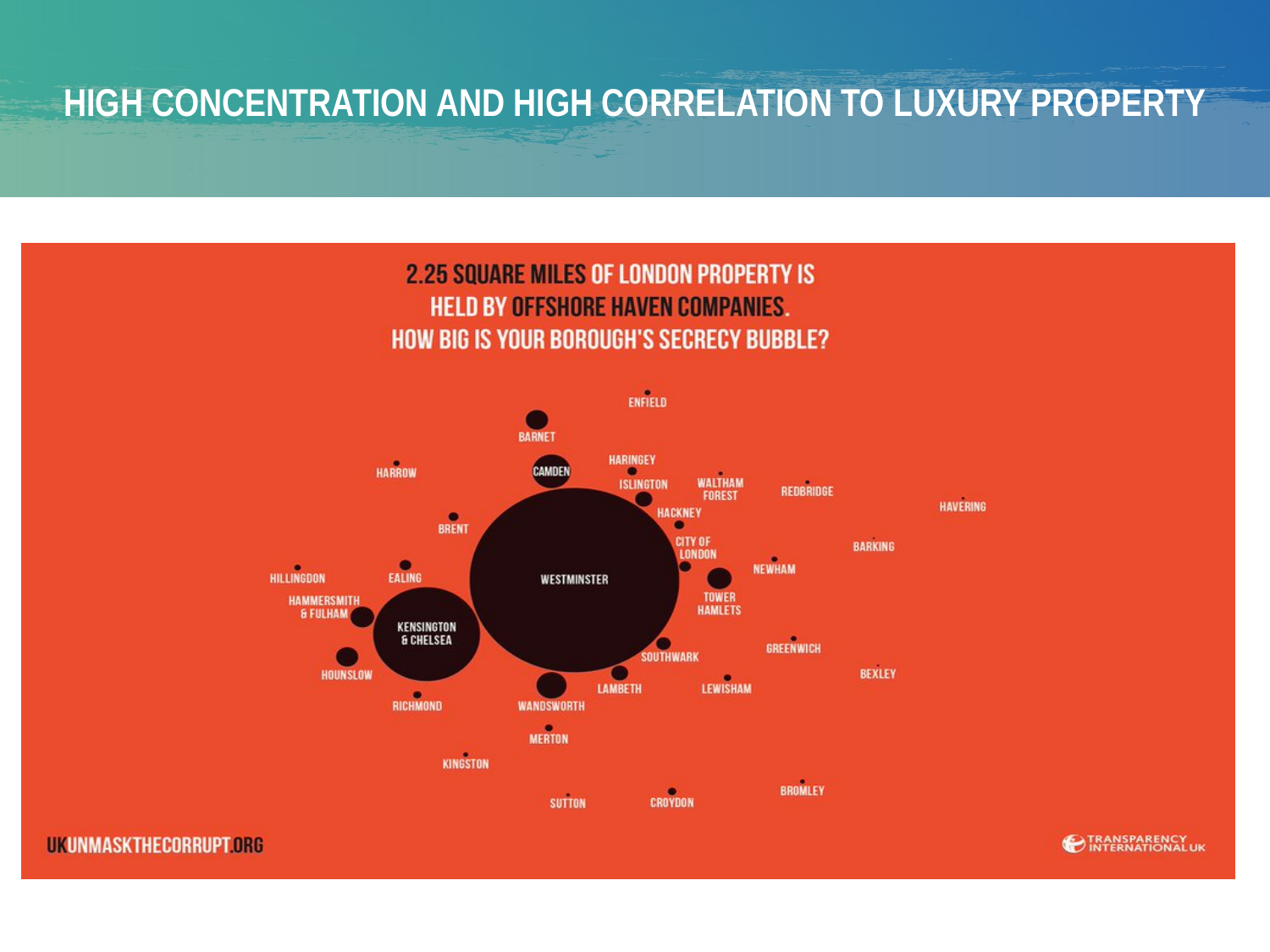#### **HIGH CONCENTRATION AND HIGH CORRELATION TO LUXURY PROPERTY**



**UKUNMASKTHECORRUPT.ORG** 

**EXPERIENCY**<br> **EXPERIENCIAL**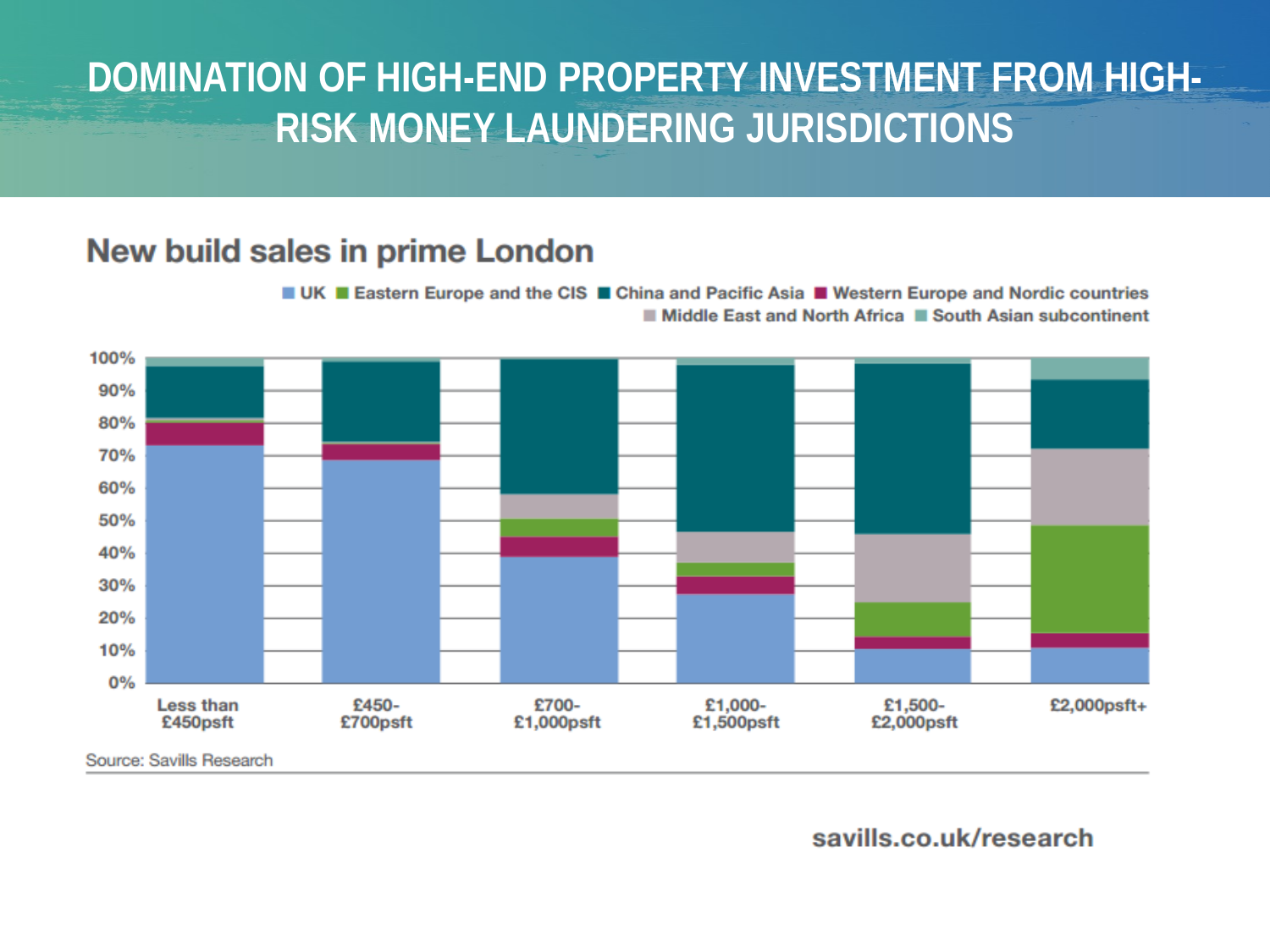#### **DOMINATION OF HIGH-END PROPERTY INVESTMENT FROM HIGH-RISK MONEY LAUNDERING JURISDICTIONS**

#### **New build sales in prime London**

■ UK ■ Eastern Europe and the CIS ■ China and Pacific Asia ■ Western Europe and Nordic countries Middle East and North Africa II South Asian subcontinent



savills.co.uk/research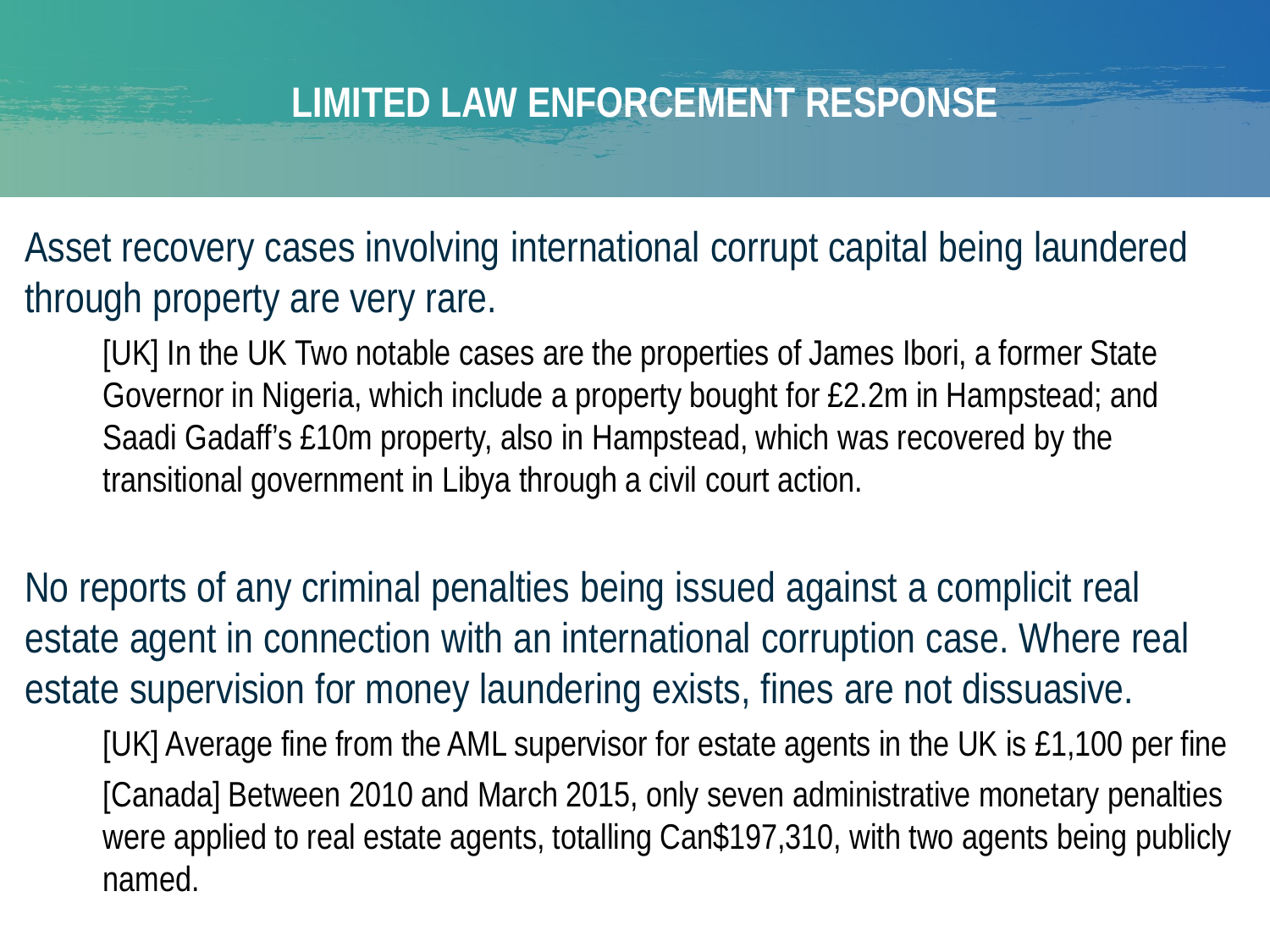Asset recovery cases involving international corrupt capital being laundered through property are very rare.

[UK] In the UK Two notable cases are the properties of James Ibori, a former State Governor in Nigeria, which include a property bought for £2.2m in Hampstead; and Saadi Gadaff's £10m property, also in Hampstead, which was recovered by the transitional government in Libya through a civil court action.

No reports of any criminal penalties being issued against a complicit real estate agent in connection with an international corruption case. Where real estate supervision for money laundering exists, fines are not dissuasive.

[UK] Average fine from the AML supervisor for estate agents in the UK is £1,100 per fine [Canada] Between 2010 and March 2015, only seven administrative monetary penalties were applied to real estate agents, totalling Can\$197,310, with two agents being publicly named.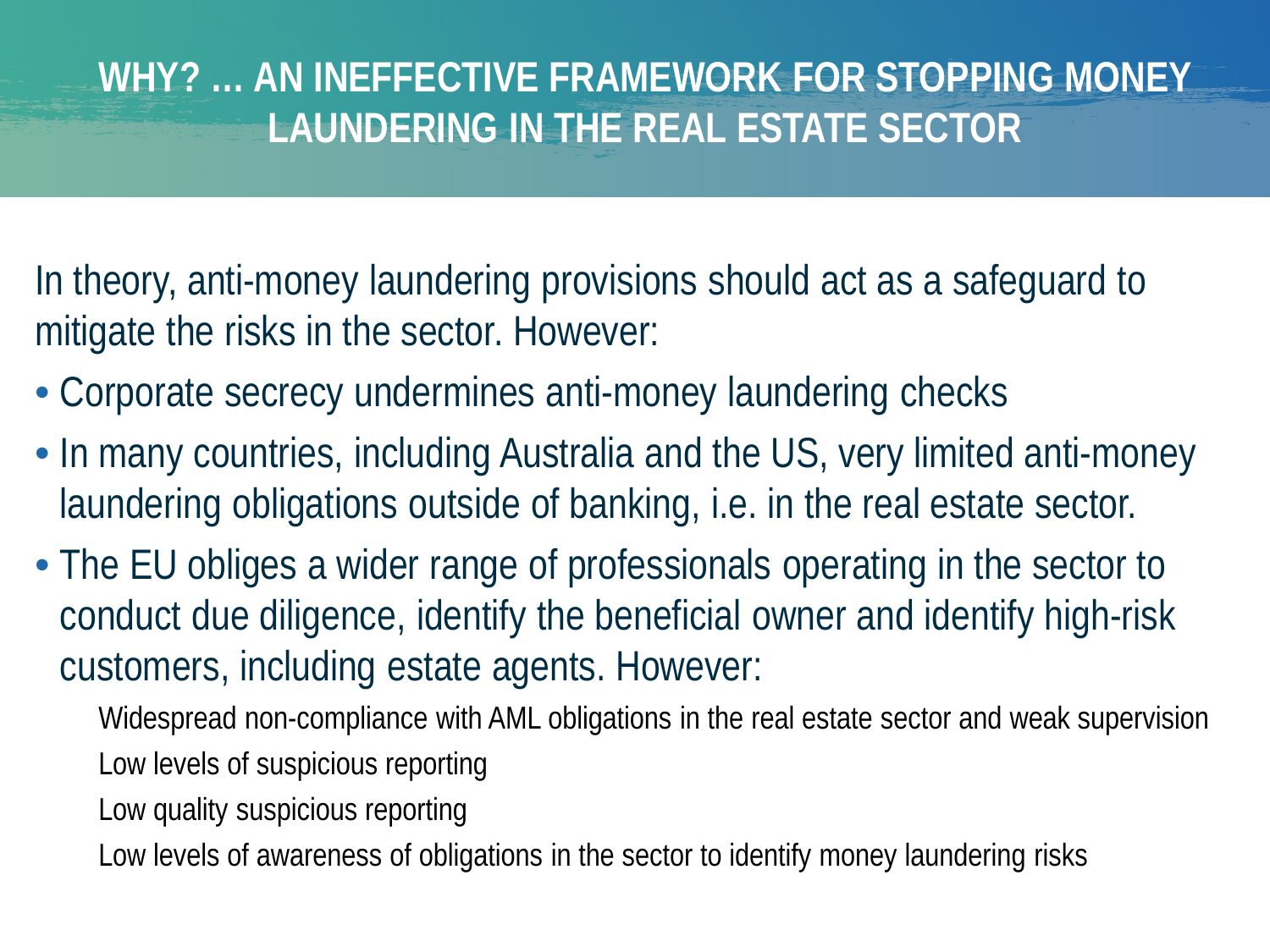#### **WHY? … AN INEFFECTIVE FRAMEWORK FOR STOPPING MONEY LAUNDERING IN THE REAL ESTATE SECTOR**

In theory, anti-money laundering provisions should act as a safeguard to mitigate the risks in the sector. However:

- Corporate secrecy undermines anti-money laundering checks
- In many countries, including Australia and the US, very limited anti-money laundering obligations outside of banking, i.e. in the real estate sector.
- The EU obliges a wider range of professionals operating in the sector to conduct due diligence, identify the beneficial owner and identify high-risk customers, including estate agents. However:
	- Widespread non-compliance with AML obligations in the real estate sector and weak supervision Low levels of suspicious reporting
	- Low quality suspicious reporting
	- Low levels of awareness of obligations in the sector to identify money laundering risks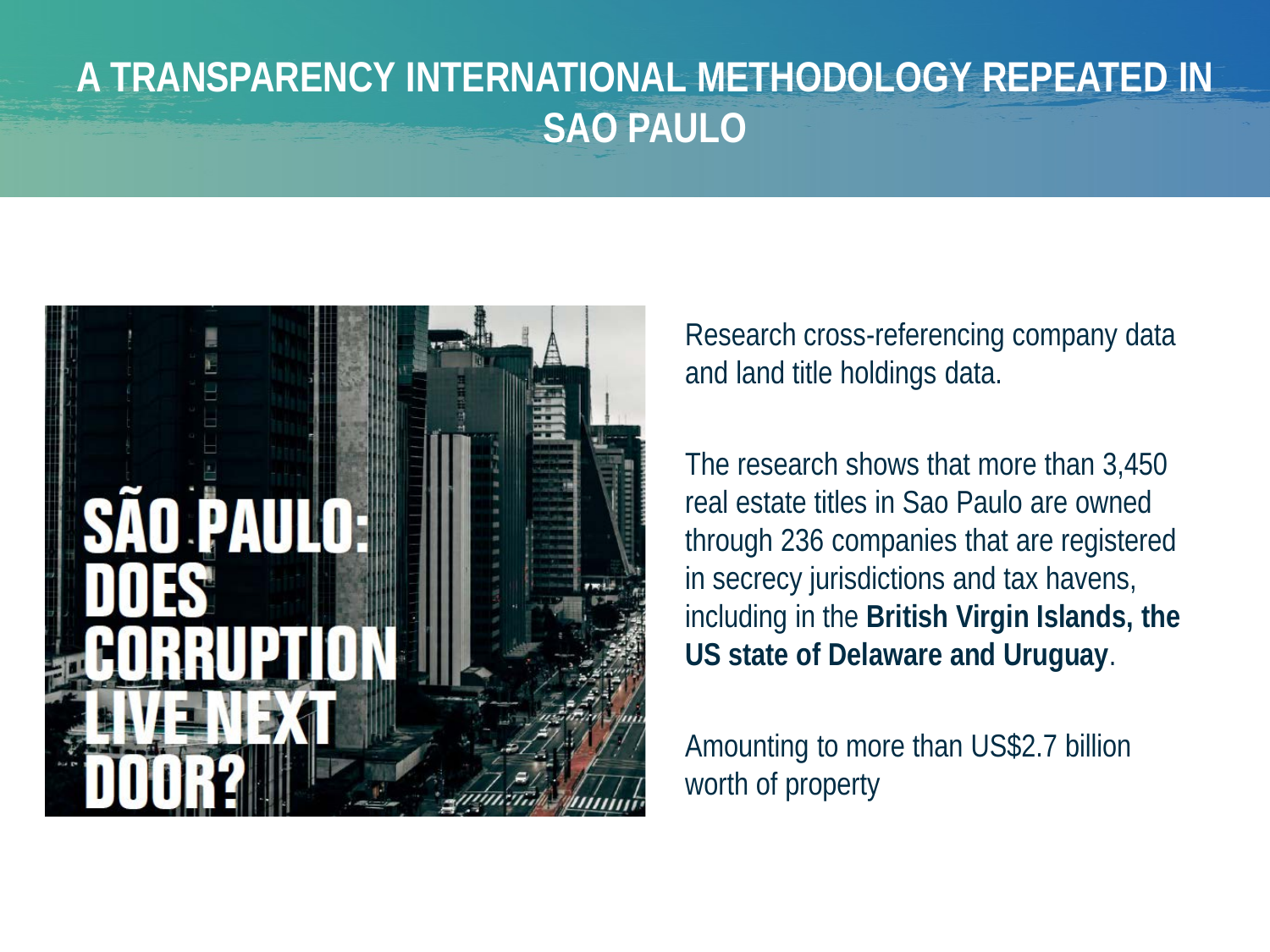#### **A TRANSPARENCY INTERNATIONAL METHODOLOGY REPEATED IN SAO PAULO**



Research cross-referencing company data and land title holdings data.

The research shows that more than 3,450 real estate titles in Sao Paulo are owned through 236 companies that are registered in secrecy jurisdictions and tax havens, including in the **British Virgin Islands, the US state of Delaware and Uruguay**.

Amounting to more than US\$2.7 billion worth of property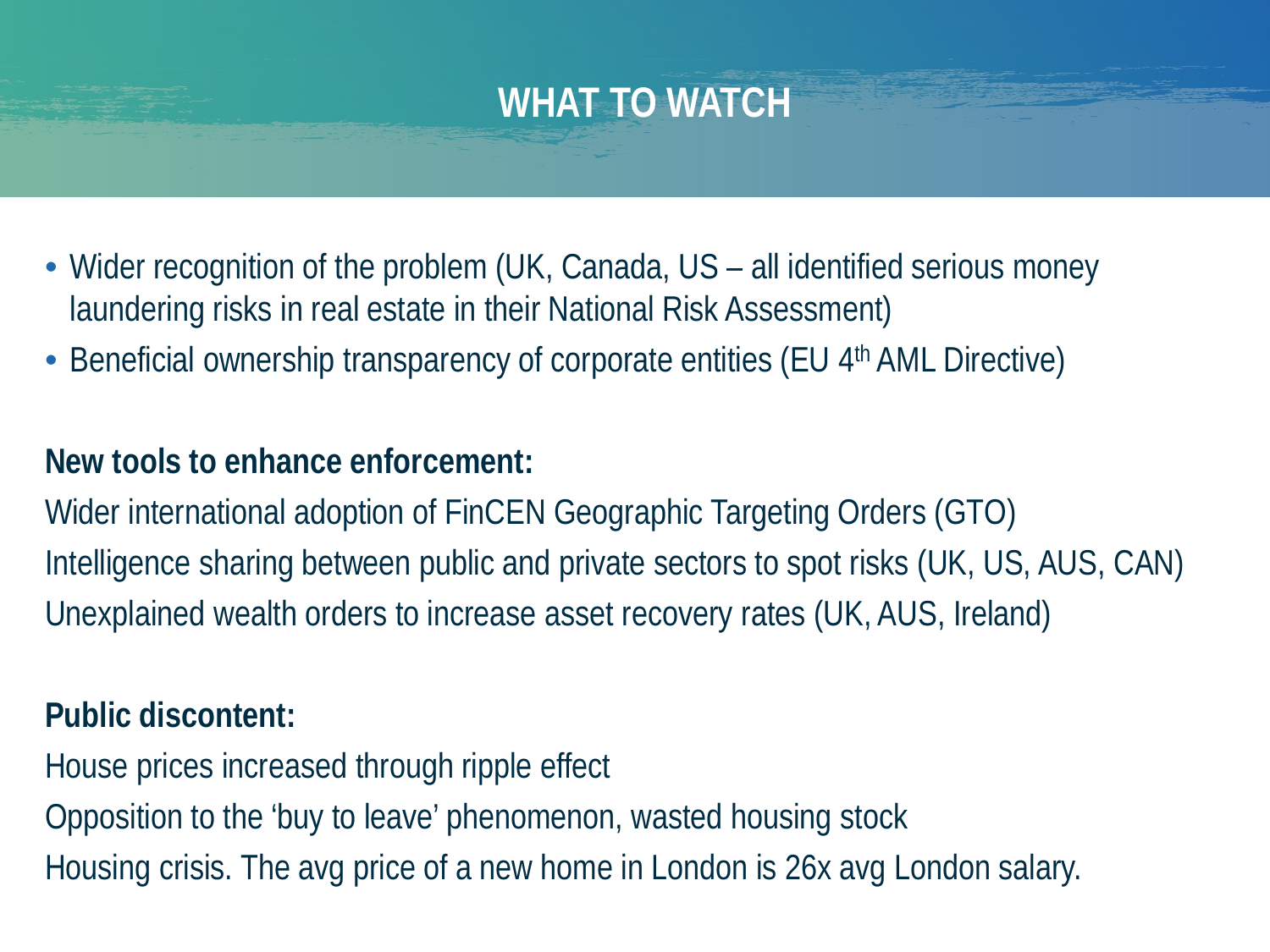#### **WHAT TO WATCH**

- Wider recognition of the problem (UK, Canada, US all identified serious money laundering risks in real estate in their National Risk Assessment)
- Beneficial ownership transparency of corporate entities (EU 4<sup>th</sup> AML Directive)

#### **New tools to enhance enforcement:**

Wider international adoption of FinCEN Geographic Targeting Orders (GTO) Intelligence sharing between public and private sectors to spot risks (UK, US, AUS, CAN) Unexplained wealth orders to increase asset recovery rates (UK, AUS, Ireland)

#### **Public discontent:**

House prices increased through ripple effect Opposition to the 'buy to leave' phenomenon, wasted housing stock Housing crisis. The avg price of a new home in London is 26x avg London salary.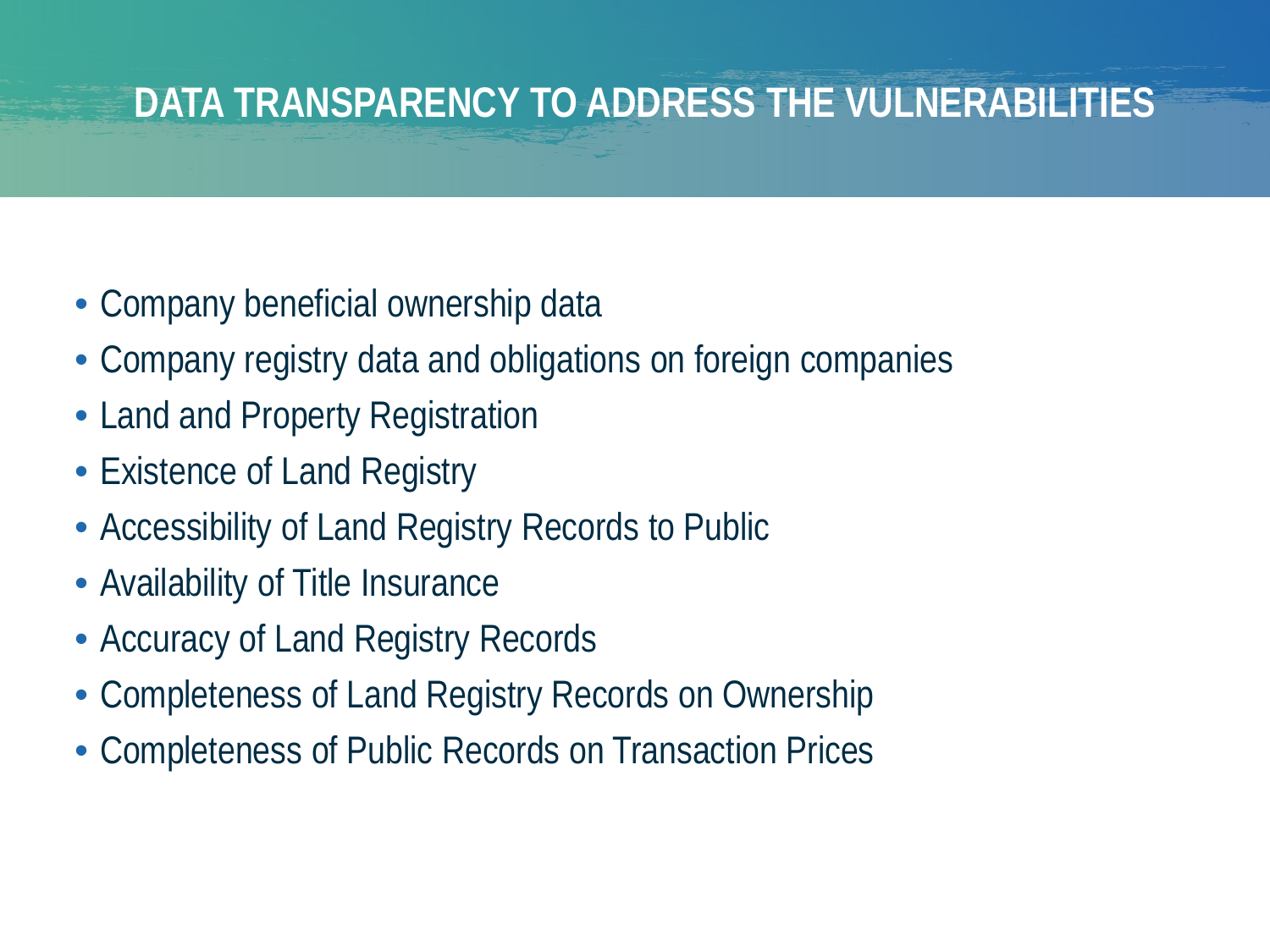### **DATA TRANSPARENCY TO ADDRESS THE VULNERABILITIES**

- Company beneficial ownership data
- Company registry data and obligations on foreign companies
- Land and Property Registration
- Existence of Land Registry
- Accessibility of Land Registry Records to Public
- Availability of Title Insurance
- Accuracy of Land Registry Records
- Completeness of Land Registry Records on Ownership
- Completeness of Public Records on Transaction Prices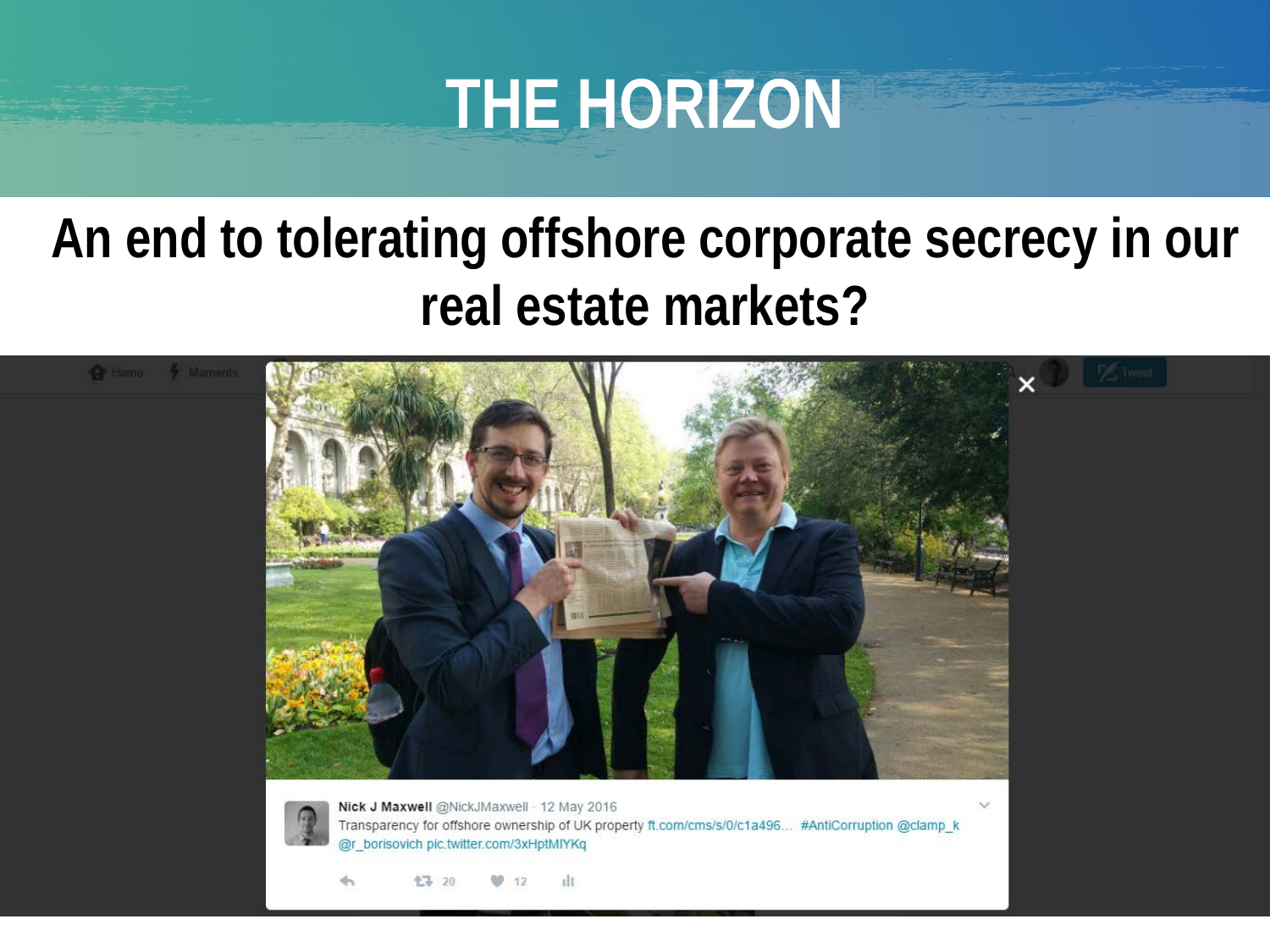# **THE HORIZON**

# **An end to tolerating offshore corporate secrecy in our real estate markets?**